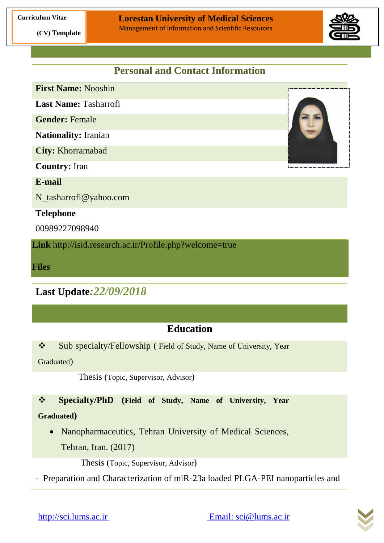

# **Personal and Contact Information**

**First Name:** Nooshin **Last Name:** Tasharrofi **Gender:** Female **Nationality:** Iranian **City:** Khorramabad **Country:** Iran

**E-mail**

N\_tasharrofi@yahoo.com

#### **Telephone**

00989227098940

**Link** http://isid.research.ac.ir/Profile.php?welcome=true

**Files**

**Last Update***:22/09/2018*

# **Education**

Sub specialty/Fellowship ( Field of Study, Name of University, Year

Graduated)

Thesis (Topic, Supervisor, Advisor)

## **Specialty/PhD (Field of Study, Name of University, Year**

#### **Graduated)**

 Nanopharmaceutics, Tehran University of Medical Sciences, Tehran, Iran. (2017)

Thesis (Topic, Supervisor, Advisor)

- Preparation and Characterization of miR-23a loaded PLGA-PEI nanoparticles and

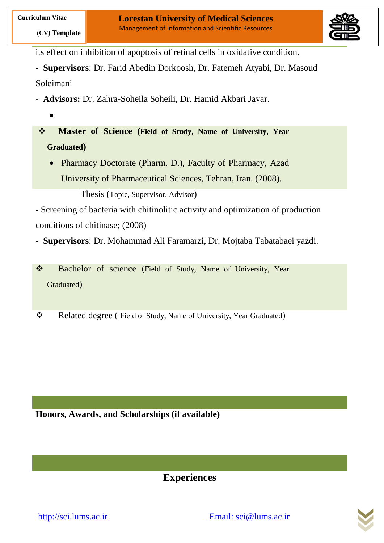

its effect on inhibition of apoptosis of retinal cells in oxidative condition.

- **Supervisors**: Dr. Farid Abedin Dorkoosh, Dr. Fatemeh Atyabi, Dr. Masoud Soleimani

- **Advisors:** Dr. Zahra-Soheila Soheili, Dr. Hamid Akbari Javar.
	- $\bullet$

 **Master of Science (Field of Study, Name of University, Year Graduated)**

• Pharmacy Doctorate (Pharm. D.), Faculty of Pharmacy, Azad University of Pharmaceutical Sciences, Tehran, Iran. (2008).

Thesis (Topic, Supervisor, Advisor)

- Screening of bacteria with chitinolitic activity and optimization of production conditions of chitinase; (2008)

- **Supervisors**: Dr. Mohammad Ali Faramarzi, Dr. Mojtaba Tabatabaei yazdi.

\* Bachelor of science (Field of Study, Name of University, Year Graduated)

\* Related degree (Field of Study, Name of University, Year Graduated)

**Honors, Awards, and Scholarships (if available)**

**Experiences**



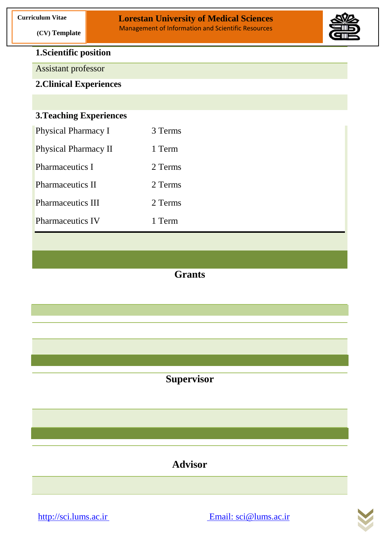

### **1.Scientific position**

 **(CV) Template**

Assistant professor

**2.Clinical Experiences**

### **3.Teaching Experiences**

| <b>Physical Pharmacy I</b>  | 3 Terms |
|-----------------------------|---------|
| <b>Physical Pharmacy II</b> | 1 Term  |
| Pharmaceutics I             | 2 Terms |
| <b>Pharmaceutics II</b>     | 2 Terms |
| <b>Pharmaceutics III</b>    | 2 Terms |
| <b>Pharmaceutics IV</b>     | 1 Term  |
|                             |         |

## **Grants**

**Supervisor**

**Advisor**

[http://sci.lums.ac.ir](http://sci.lums.ac.ir/) Email: sci@lums.ac.ir

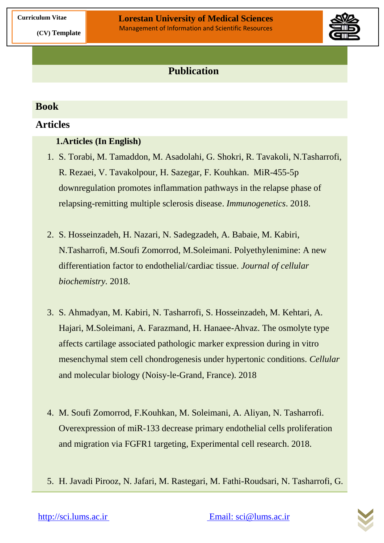

## **Publication**

### **Book**

### **Articles**

### **1.Articles (In English)**

- 1. S. Torabi, M. Tamaddon, M. Asadolahi, G. Shokri, R. Tavakoli, N.Tasharrofi, R. Rezaei, V. Tavakolpour, H. Sazegar, F. Kouhkan. [MiR-455-5p](javascript:void(0))  [downregulation promotes inflammation pathways in the relapse phase of](javascript:void(0))  [relapsing-remitting multiple sclerosis disease.](https://link.springer.com/article/10.1007/s00251-018-1087-x) *[Immunogenetics](https://link.springer.com/journal/251)*. 2018.
- 2. S. Hosseinzadeh, H. Nazari, N. Sadegzadeh, A. Babaie, M. Kabiri, N.Tasharrofi, M.Soufi Zomorrod, M.Soleimani. Polyethylenimine: A new differentiation factor to endothelial/cardiac tissue. *Journal of cellular biochemistry.* 2018.
- 3. S. Ahmadyan, M. Kabiri, N. Tasharrofi, S. Hosseinzadeh, M. Kehtari, A. Hajari, M.Soleimani, A. Farazmand, H. Hanaee-Ahvaz. [The osmolyte type](javascript:void(0))  [affects cartilage associated pathologic marker expression during in vitro](javascript:void(0))  [mesenchymal stem cell chondrogenesis under hypertonic conditions.](javascript:void(0)) *Cellular*  and molecular biology (Noisy-le-Grand, France). 2018
- 4. M. Soufi Zomorrod, F.Kouhkan, M. Soleimani, A. Aliyan, N. Tasharrofi. [Overexpression of miR-133 decrease primary endothelial cells proliferation](javascript:void(0))  [and migration via FGFR1 targeting,](javascript:void(0)) Experimental cell research. 2018.
- 5. H. Javadi Pirooz, N. Jafari, M. Rastegari, M. Fathi-Roudsari, N. Tasharrofi, G.

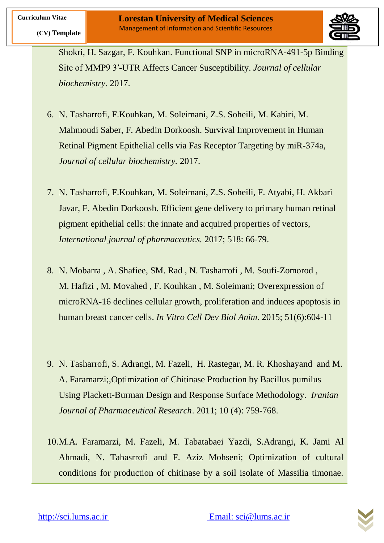

Shokri, H. Sazgar, F. Kouhkan. [Functional SNP in microRNA-491-5p Binding](javascript:void(0))  [Site of MMP9 3′-UTR Affects Cancer Susceptibility.](javascript:void(0)) *Journal of cellular biochemistry.* 2017.

- 6. N. Tasharrofi, F.Kouhkan, M. Soleimani, Z.S. Soheili, M. Kabiri, M. Mahmoudi Saber, F. Abedin Dorkoosh. Survival Improvement in Human Retinal Pigment Epithelial cells via Fas Receptor Targeting by miR-374a, *Journal of cellular biochemistry.* 2017.
- 7. N. Tasharrofi, F.Kouhkan, M. Soleimani, Z.S. Soheili, F. Atyabi, H. Akbari Javar, F. Abedin Dorkoosh. Efficient gene delivery to primary human retinal pigment epithelial cells: the innate and acquired properties of vectors, *International journal of pharmaceutics.* 2017; 518: 66-79.
- 8. N. [Mobarra ,](http://www.ncbi.nlm.nih.gov/pubmed/?term=Mobarra%20N%5BAuthor%5D&cauthor=true&cauthor_uid=25672252) A. [Shafiee,](http://www.ncbi.nlm.nih.gov/pubmed/?term=Shafiee%20A%5BAuthor%5D&cauthor=true&cauthor_uid=25672252) SM. [Rad ,](http://www.ncbi.nlm.nih.gov/pubmed/?term=Rad%20SM%5BAuthor%5D&cauthor=true&cauthor_uid=25672252) N. [Tasharrofi](http://www.ncbi.nlm.nih.gov/pubmed/?term=Tasharrofi%20N%5BAuthor%5D&cauthor=true&cauthor_uid=25672252) , M. [Soufi-Zomorod ,](http://www.ncbi.nlm.nih.gov/pubmed/?term=Soufi-Zomorod%20M%5BAuthor%5D&cauthor=true&cauthor_uid=25672252) M. [Hafizi ,](http://www.ncbi.nlm.nih.gov/pubmed/?term=Hafizi%20M%5BAuthor%5D&cauthor=true&cauthor_uid=25672252) M. [Movahed ,](http://www.ncbi.nlm.nih.gov/pubmed/?term=Movahed%20M%5BAuthor%5D&cauthor=true&cauthor_uid=25672252) F. [Kouhkan ,](http://www.ncbi.nlm.nih.gov/pubmed/?term=Kouhkan%20F%5BAuthor%5D&cauthor=true&cauthor_uid=25672252) M. [Soleimani;](http://www.ncbi.nlm.nih.gov/pubmed/?term=Soleimani%20M%5BAuthor%5D&cauthor=true&cauthor_uid=25672252) Overexpression of microRNA-16 declines cellular growth, proliferation and induces apoptosis in human breast cancer cells. *[In Vitro Cell Dev Biol Anim](http://www.ncbi.nlm.nih.gov/pubmed/25672252)*. 2015; 51(6):604-11
- 9. N. Tasharrofi, S. Adrangi, M. Fazeli, H. Rastegar, M. R. Khoshayand and M. A. Faramarzi;,Optimization of Chitinase Production by Bacillus pumilus Using Plackett-Burman Design and Response Surface Methodology. *Iranian Journal of Pharmaceutical Research*. 2011; 10 (4): 759-768.
- 10.M.A. Faramarzi, M. Fazeli, M. Tabatabaei Yazdi, S.Adrangi, K. Jami Al Ahmadi, N. Tahasrrofi and F. Aziz Mohseni; Optimization of cultural conditions for production of chitinase by a soil isolate of Massilia timonae.

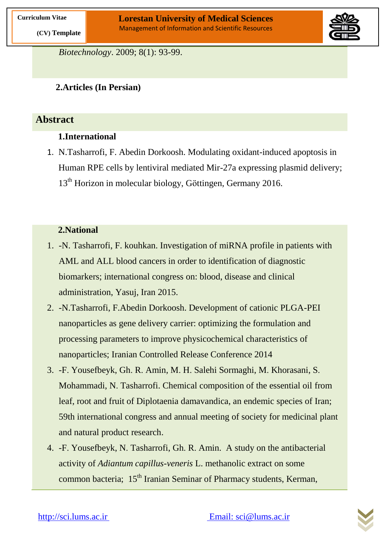

*Biotechnology*. 2009; 8(1): 93-99.

### **2.Articles (In Persian)**

### **Abstract**

### **1.International**

1. N.Tasharrofi, F. Abedin Dorkoosh. Modulating oxidant-induced apoptosis in Human RPE cells by lentiviral mediated Mir-27a expressing plasmid delivery; 13<sup>th</sup> Horizon in molecular biology, Göttingen, Germany 2016.

### **2.National**

- 1. -N. Tasharrofi, F. kouhkan. Investigation of miRNA profile in patients with AML and ALL blood cancers in order to identification of diagnostic biomarkers; international congress on: blood, disease and clinical administration, Yasuj, Iran 2015.
- 2. -N.Tasharrofi, F.Abedin Dorkoosh. Development of cationic PLGA-PEI nanoparticles as gene delivery carrier: optimizing the formulation and processing parameters to improve physicochemical characteristics of nanoparticles; Iranian Controlled Release Conference 2014
- 3. -F. Yousefbeyk, Gh. R. Amin, M. H. Salehi Sormaghi, M. Khorasani, S. Mohammadi, N. Tasharrofi. Chemical composition of the essential oil from leaf, root and fruit of Diplotaenia damavandica, an endemic species of Iran; 59th international congress and annual meeting of society for medicinal plant and natural product research.
- 4. -F. Yousefbeyk, N. Tasharrofi, Gh. R. Amin. A study on the antibacterial activity of *Adiantum capillus-veneris* L. methanolic extract on some common bacteria; 15<sup>th</sup> Iranian Seminar of Pharmacy students, Kerman,

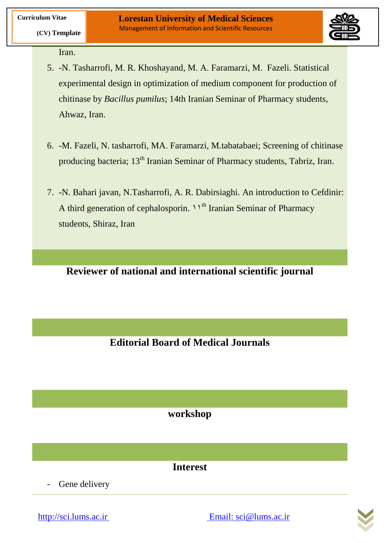

Iran.

 **(CV) Template**

- 5. -N. Tasharrofi, M. R. Khoshayand, M. A. Faramarzi, M. Fazeli. Statistical experimental design in optimization of medium component for production of chitinase by *Bacillus pumilus*; 14th Iranian Seminar of Pharmacy students, Ahwaz, Iran.
- 6. -M. Fazeli, N. tasharrofi, MA. Faramarzi, M.tabatabaei; Screening of chitinase producing bacteria; 13<sup>th</sup> Iranian Seminar of Pharmacy students, Tabriz, Iran.
- 7. -N. Bahari javan, N.Tasharrofi, A. R. Dabirsiaghi. An introduction to Cefdinir: A third generation of cephalosporin.  $11^{th}$  Iranian Seminar of Pharmacy students, Shiraz, Iran

**Reviewer of national and international scientific journal**

**Editorial Board of Medical Journals**

**workshop**

**Interest**

Gene delivery